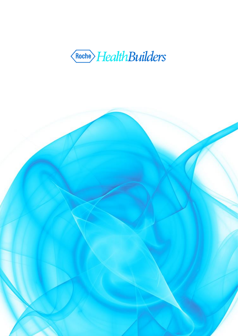

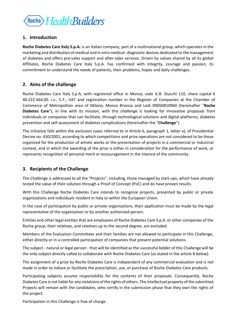

# **1. Introduction**

**Roche Diabetes Care Italy S.p.A.** is an Italian company, part of a multinational group, which operates in the marketing and distribution of medical and in vitro medical- diagnostic devices dedicated to the management of diabetes and offers pre-sales support and after-sales services. Driven by values shared by all its global Affiliates, Roche Diabetes Care Italy S.p.A. has confirmed with integrity, courage and passion, its commitment to understand the needs of patients, their problems, hopes and daily challenges.

# **2. Aims of the challenge**

Roche Diabetes Care Italy S.p.A, with registered office in Monza, viale G.B. Stucchi 110, share capital  $\epsilon$ 40.222.464,00. i.v., C.F., VAT and registration number in the Register of Companies at the Chamber of Commerce of Metropolitan area of Milano, Monza Brianza and Lodi 09050810960 (hereinafter "**Roche Diabetes Care**"), in line with its mission, with this *challenge* is looking for innovative proposals from individuals or companies that can facilitate, through technological solutions and digital platforms, diabetes prevention and self-assessment of diabetes complications (hereinafter the "**Challenge**").

The initiative falls within the exclusion cases referred to in Article 6, paragraph 1, letter a), of Presidential Decree no. 430/2001, according to which competitions and prize operations are not considered to be those organized for the production of artistic works or the presentation of projects in a commercial or industrial context, and in which the awarding of the prize is either in consideration for the performance of work, or represents recognition of personal merit or encouragement in the interest of the community.

# **3. Recipients of the Challenge**

The Challenge is addressed to all the "Projects", including, those managed by start-ups, which have already tested the value of their solution through a Proof of Concept (PoC) and do have proven results.

With this Challenge Roche Diabetes Care intends to recognize projects, presented by public or private organizations and individuals resident in Italy or within the European Union.

In the case of participation by public or private organizations, their application must be made by the legal representative of the organization or by another authorized person.

Entities and other legal entities that are employees of Roche Diabetes Care S.p.A. or other companies of the Roche group, their relatives, and relatives up to the second degree, are excluded.

Members of the Evaluation Committees and their families are not allowed to participate in this Challenge, either directly or in a controlled participation of companies that present potential solutions.

The subject - natural or legal person - that will be identified as the successful bidder of this Challenge will be the only subject directly called to collaborate with Roche Diabetes Care (as stated in the article 8 below).

The assignment of a prize by Roche Diabetes Care is independent of any commercial evaluation and is not made in order to induce or facilitate the prescription, use, or purchase of Roche Diabetes Care products.

Participating subjects assume responsibility for the contents of their proposals. Consequently, Roche Diabetes Care is not liable for any violations of the rights of others. The intellectual property of the submitted Projects will remain with the candidates, who certify in the submission phase that they own the rights of the project.

Participation in this Challenge is free of charge.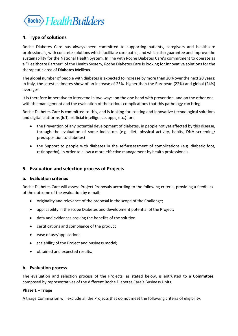

# **4. Type of solutions**

Roche Diabetes Care has always been committed to supporting patients, caregivers and healthcare professionals, with concrete solutions which facilitate care paths, and which also guarantee and improve the sustainability for the National Health System. In line with Roche Diabetes Care's commitment to operate as a "Healthcare Partner" of the Health System, Roche Diabetes Care is looking for innovative solutions for the therapeutic area of **Diabetes Mellitus**.

The global number of people with diabetes is expected to increase by more than 20% over the next 20 years: in Italy, the latest estimates show of an increase of 25%, higher than the European (22%) and global (24%) averages.

It is therefore imperative to intervene in two ways: on the one hand with prevention, and on the other one with the management and the evaluation of the serious complications that this pathology can bring.

Roche Diabetes Care is committed to this, and is looking for existing and innovative technological solutions and digital platforms (IoT, artificial intelligence, apps, etc.) for:

- the Prevention of any potential development of diabetes, in people not yet affected by this disease, through the evaluation of some indicators (e.g. diet, physical activity, habits, DNA screening/ predisposition to diabetes)
- the Support to people with diabetes in the self-assessment of complications (e.g. diabetic foot, retinopathy), in order to allow a more effective management by health professionals.

## **5. Evaluation and selection process of Projects**

### **a. Evaluation criterias**

Roche Diabetes Care will assess Project Proposals according to the following criteria, providing a feedback of the outcome of the evaluation by e-mail:

- originality and relevance of the proposal in the scope of the Challenge;
- applicability in the scope Diabetes and development potential of the Project;
- data and evidences proving the benefits of the solution;
- certifications and compliance of the product
- ease of use/application;
- scalability of the Project and business model;
- obtained and expected results.

### **b. Evaluation process**

The evaluation and selection process of the Projects, as stated below, is entrusted to a **Committee** composed by representatives of the different Roche Diabetes Care's Business Units.

### **Phase 1 – Triage**

A triage Commission will exclude all the Projects that do not meet the following criteria of eligibility: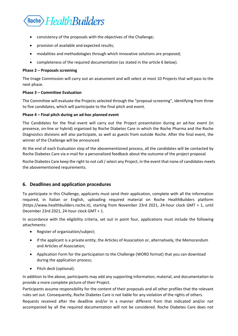

- consistency of the proposals with the objectives of the Challenge;
- provision of available and expected results;
- modalities and methodologies through which innovative solutions are proposed;
- completeness of the required documentation (as stated in the article 6 below).

#### **Phase 2 – Proposals screening**

The triage Commission will carry out an assessment and will select at most 10 Projects that will pass to the next phase.

### **Phase 3 – Committee Evaluation**

The Committee will evaluate the Projects selected through the "proposal screening", identifying from three to five candidates, which will participate to the final pitch and event.

#### **Phase 4 – Final pitch during an ad-hoc planned event**

The Candidates for the final event will carry out the Project presentation during an ad-hoc event (in presence, on-line or hybrid) organized by Roche Diabetes Care in which the Roche Pharma and the Roche Diagnostics divisions will also participate, as well as guests from outside Roche. After the final event, the winner of the Challenge will be announced.

At the end of each Evaluation step of the abovementioned process, all the candidates will be contacted by Roche Diabetes Care via e-mail for a personalized feedback about the outcome of the project proposal.

Roche Diabetes Care keep the right to not call / select any Project, in the event that none of candidates meets the abovementioned requirements.

## **6. Deadlines and application procedures**

To participate in this Challenge, applicants must send their application, complete with all the information required, in Italian or English, uploading required material on Roche HealthBuilders platform (https://www.healthbuilders.roche.it), starting from November 23rd 2021, 24-hour clock GMT + 1, until December 23rd 2021, 24-hour clock GMT + 1.

In accordance with the eligibility criteria, set out in point four, applications must include the following attachments:

- Register of organization/subject;
- If the applicant is a private entity, the Articles of Association or, alternatively, the Memorandum and Articles of Association;
- Application Form for the participation to the Challenge (WORD format) that you can download during the application process;
- Pitch deck (optional).

In addition to the above, participants may add any supporting information, material, and documentation to provide a more complete picture of their Project.

Participants assume responsibility for the content of their proposals and all other profiles that the relevant rules set out. Consequently, Roche Diabetes Care is not liable for any violation of the rights of others.

Requests received after the deadline and/or in a manner different from that indicated and/or not accompanied by all the required documentation will not be considered. Roche Diabetes Care does not